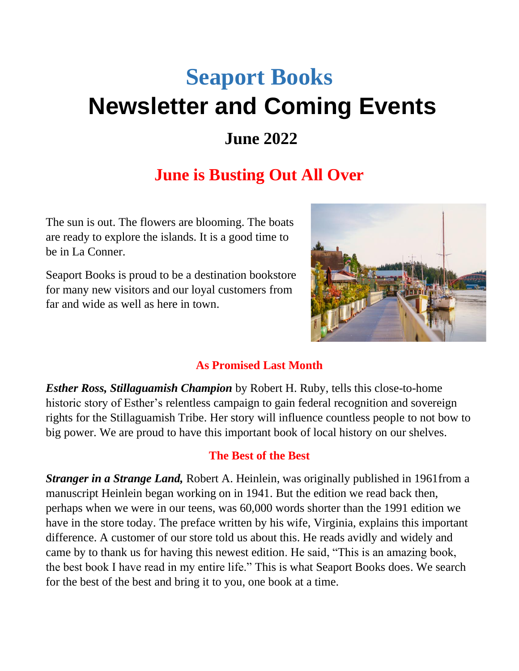# **Seaport Books Newsletter and Coming Events**

## **June 2022**

# **June is Busting Out All Over**

The sun is out. The flowers are blooming. The boats are ready to explore the islands. It is a good time to be in La Conner.

Seaport Books is proud to be a destination bookstore for many new visitors and our loyal customers from far and wide as well as here in town.



#### **As Promised Last Month**

*Esther Ross, Stillaguamish Champion* by Robert H. Ruby, tells this close-to-home historic story of Esther's relentless campaign to gain federal recognition and sovereign rights for the Stillaguamish Tribe. Her story will influence countless people to not bow to big power. We are proud to have this important book of local history on our shelves.

#### **The Best of the Best**

*Stranger in a Strange Land,* Robert A. Heinlein, was originally published in 1961from a manuscript Heinlein began working on in 1941. But the edition we read back then, perhaps when we were in our teens, was 60,000 words shorter than the 1991 edition we have in the store today. The preface written by his wife, Virginia, explains this important difference. A customer of our store told us about this. He reads avidly and widely and came by to thank us for having this newest edition. He said, "This is an amazing book, the best book I have read in my entire life." This is what Seaport Books does. We search for the best of the best and bring it to you, one book at a time.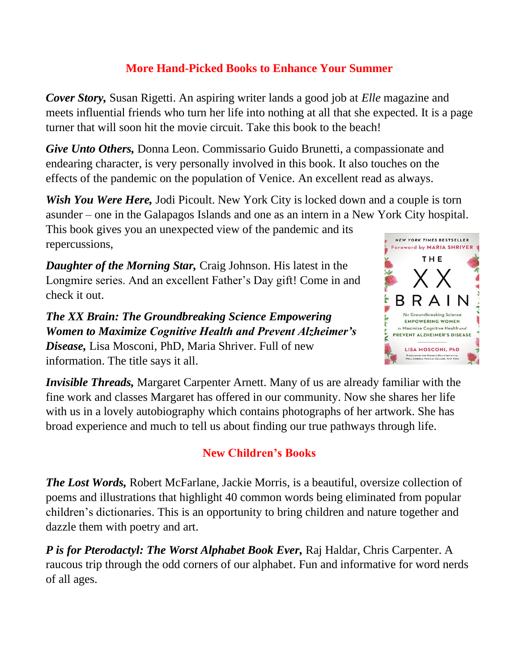#### **More Hand-Picked Books to Enhance Your Summer**

*Cover Story,* Susan Rigetti. An aspiring writer lands a good job at *Elle* magazine and meets influential friends who turn her life into nothing at all that she expected. It is a page turner that will soon hit the movie circuit. Take this book to the beach!

*Give Unto Others,* Donna Leon. Commissario Guido Brunetti, a compassionate and endearing character, is very personally involved in this book. It also touches on the effects of the pandemic on the population of Venice. An excellent read as always.

*Wish You Were Here, Jodi Picoult.* New York City is locked down and a couple is torn asunder – one in the Galapagos Islands and one as an intern in a New York City hospital. This book gives you an unexpected view of the pandemic and its

repercussions,

*Daughter of the Morning Star,* Craig Johnson. His latest in the Longmire series. And an excellent Father's Day gift! Come in and check it out.

*The XX Brain: The Groundbreaking Science Empowering Women to Maximize Cognitive Health and Prevent Alzheimer's Disease,* Lisa Mosconi, PhD, Maria Shriver. Full of new information. The title says it all.



*Invisible Threads,* Margaret Carpenter Arnett. Many of us are already familiar with the fine work and classes Margaret has offered in our community. Now she shares her life with us in a lovely autobiography which contains photographs of her artwork. She has broad experience and much to tell us about finding our true pathways through life.

## **New Children's Books**

*The Lost Words,* Robert McFarlane, Jackie Morris, is a beautiful, oversize collection of poems and illustrations that highlight 40 common words being eliminated from popular children's dictionaries. This is an opportunity to bring children and nature together and dazzle them with poetry and art.

*P is for Pterodactyl: The Worst Alphabet Book Ever,* Raj Haldar, Chris Carpenter. A raucous trip through the odd corners of our alphabet. Fun and informative for word nerds of all ages.